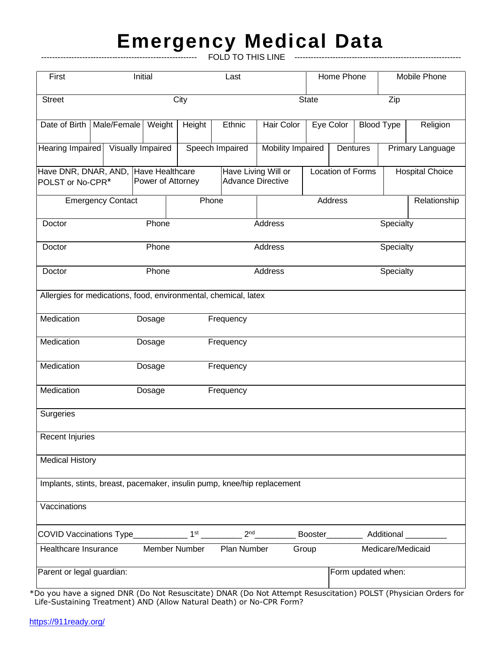## **Emergency Medical Data**

--------------------------------------------------------- FOLD TO THIS LINE -------------------------------------------------------------

| First                                                                   |                          | Initial                              |               | Last                               |                                                 |                   | Home Phone        |                                        |                    | Mobile Phone           |  |
|-------------------------------------------------------------------------|--------------------------|--------------------------------------|---------------|------------------------------------|-------------------------------------------------|-------------------|-------------------|----------------------------------------|--------------------|------------------------|--|
| <b>Street</b>                                                           |                          |                                      | City          |                                    |                                                 |                   | <b>State</b>      |                                        |                    | Zip                    |  |
| Date of Birth                                                           | Male/Female              | Weight                               | Height        | Ethnic                             | Hair Color                                      |                   | Eye Color         | <b>Blood Type</b>                      |                    | Religion               |  |
| Hearing Impaired                                                        | Visually Impaired        |                                      |               | Speech Impaired                    |                                                 | Mobility Impaired |                   | Dentures                               |                    | Primary Language       |  |
| Have DNR, DNAR, AND,<br>POLST or No-CPR*                                |                          | Have Healthcare<br>Power of Attorney |               |                                    | Have Living Will or<br><b>Advance Directive</b> |                   | Location of Forms |                                        |                    | <b>Hospital Choice</b> |  |
|                                                                         | <b>Emergency Contact</b> |                                      |               | Phone                              |                                                 | Address           |                   |                                        |                    | Relationship           |  |
| Doctor                                                                  |                          | Phone                                |               | Address                            |                                                 |                   | Specialty         |                                        |                    |                        |  |
| Doctor                                                                  | Phone                    |                                      |               | Address                            |                                                 |                   | Specialty         |                                        |                    |                        |  |
| Phone<br>Address<br>Doctor                                              |                          |                                      |               |                                    |                                                 |                   | Specialty         |                                        |                    |                        |  |
| Allergies for medications, food, environmental, chemical, latex         |                          |                                      |               |                                    |                                                 |                   |                   |                                        |                    |                        |  |
| Medication                                                              |                          | Dosage                               |               | Frequency                          |                                                 |                   |                   |                                        |                    |                        |  |
| Medication                                                              |                          | Dosage                               |               | Frequency                          |                                                 |                   |                   |                                        |                    |                        |  |
| Medication                                                              |                          | Dosage                               |               | Frequency                          |                                                 |                   |                   |                                        |                    |                        |  |
| Medication                                                              |                          | Dosage                               |               | Frequency                          |                                                 |                   |                   |                                        |                    |                        |  |
| Surgeries                                                               |                          |                                      |               |                                    |                                                 |                   |                   |                                        |                    |                        |  |
| Recent Injuries                                                         |                          |                                      |               |                                    |                                                 |                   |                   |                                        |                    |                        |  |
| <b>Medical History</b>                                                  |                          |                                      |               |                                    |                                                 |                   |                   |                                        |                    |                        |  |
| Implants, stints, breast, pacemaker, insulin pump, knee/hip replacement |                          |                                      |               |                                    |                                                 |                   |                   |                                        |                    |                        |  |
| Vaccinations                                                            |                          |                                      |               |                                    |                                                 |                   |                   |                                        |                    |                        |  |
| COVID Vaccinations Type____________                                     |                          |                                      |               | 2 <sup>nd</sup><br>1 <sup>st</sup> |                                                 |                   |                   | Booster__________ Additional _________ |                    |                        |  |
| Healthcare Insurance                                                    |                          |                                      | Member Number | Plan Number                        |                                                 | Group             |                   |                                        | Medicare/Medicaid  |                        |  |
| Parent or legal guardian:                                               |                          |                                      |               |                                    |                                                 |                   |                   |                                        | Form updated when: |                        |  |

\*Do you have a signed DNR (Do Not Resuscitate) DNAR (Do Not Attempt Resuscitation) POLST (Physician Orders for Life-Sustaining Treatment) AND (Allow Natural Death) or No-CPR Form?